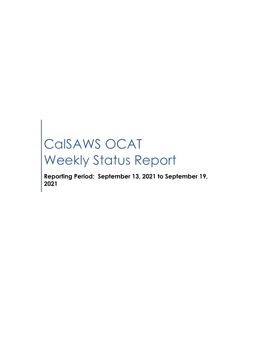# CalSAWS OCAT Weekly Status Report

**Reporting Period: September 13, 2021 to September 19, 2021**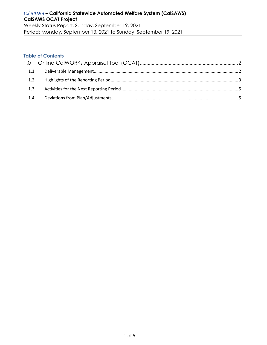Period: Monday, September 13, 2021 to Sunday, September 19, 2021

#### **Table of Contents**

| 1.1 |  |
|-----|--|
|     |  |
|     |  |
| 1.4 |  |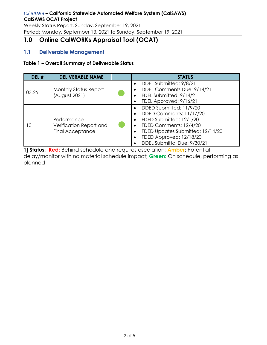Weekly Status Report, Sunday, September 19, 2021 Period: Monday, September 13, 2021 to Sunday, September 19, 2021

# <span id="page-2-0"></span>**1.0 Online CalWORKs Appraisal Tool (OCAT)**

# <span id="page-2-1"></span>**1.1 Deliverable Management**

#### **Table 1 – Overall Summary of Deliverable Status**

| DEL # | <b>DELIVERABLE NAME</b>                                           | <b>STATUS</b>                                                                                                                                                                                                                                                                       |
|-------|-------------------------------------------------------------------|-------------------------------------------------------------------------------------------------------------------------------------------------------------------------------------------------------------------------------------------------------------------------------------|
| 03.25 | <b>Monthly Status Report</b><br>August 2021)                      | DDEL Submitted: 9/8/21<br>DDEL Comments Due: 9/14/21<br>FDEL Submitted: 9/14/21<br>FDEL Approved: 9/16/21<br>$\bullet$                                                                                                                                                              |
| 13    | Performance<br>Verification Report and<br><b>Final Acceptance</b> | DDED Submitted: 11/9/20<br>$\bullet$<br>DDED Comments: 11/17/20<br>$\bullet$<br>FDED Submitted: 12/1/20<br>$\bullet$<br>FDED Comments: 12/4/20<br>$\bullet$<br>FDED Updates Submitted: 12/14/20<br>$\bullet$<br>FDED Approved: 12/18/20<br>$\bullet$<br>DDEL Submittal Due: 9/30/21 |

**1] Status: Red:** Behind schedule and requires escalation; **Amber:** Potential delay/monitor with no material schedule impact; **Green:** On schedule, performing as planned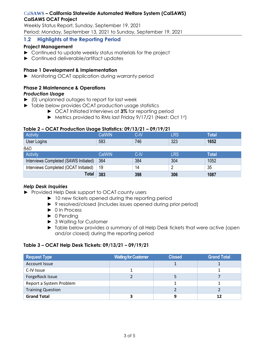Weekly Status Report, Sunday, September 19, 2021 Period: Monday, September 13, 2021 to Sunday, September 19, 2021

## <span id="page-3-0"></span>**1.2 Highlights of the Reporting Period**

### **Project Management**

- ► Continued to update weekly status materials for the project
- ► Continued deliverable/artifact updates

#### **Phase 1 Development & Implementation**

► Monitoring OCAT application during warranty period

# **Phase 2 Maintenance & Operations**

#### *Production Usage*

- ► (0) unplanned outages to report for last week
- ► Table below provides OCAT production usage statistics
	- ► OCAT Initiated Interviews at **3%** for reporting period
	- ► Metrics provided to RMs last Friday 9/17/21 (Next: Oct 1st)

### **Table 2 – OCAT Production Usage Statistics: 09/13/21 – 09/19/21**

| Activity                              | CalWIN <sup>1</sup> | $C$ -IV | LRS | <b>Total</b> |
|---------------------------------------|---------------------|---------|-----|--------------|
| User Logins                           | 583                 | 746     | 323 | 1652         |
| 860                                   |                     |         |     |              |
| Activity                              | CalWIN              | $C$ -IV | LRS | <b>Total</b> |
| Interviews Completed (SAWS Initiated) | 364                 | 384     | 304 | 1052         |
| Interviews Completed (OCAT Initiated) | 19                  | 14      | റ   | 35           |
| <b>Total</b>                          | 383                 | 398     | 306 | 1087         |

#### *Help Desk Inquiries*

- ► Provided Help Desk support to OCAT county users
	- ► 10 new tickets opened during the reporting period
	- ► 9 resolved/closed (includes issues opened during prior period)
	- ► 0 In Process
	- ► 0 Pending
	- ► 3 Waiting for Customer
	- ► Table below provides a summary of all Help Desk tickets that were active (open and/or closed) during the reporting period

#### **Table 3 – OCAT Help Desk Tickets: 09/13/21 – 09/19/21**

| <b>Request Type</b>      | <b>Waiting for Customer</b> | <b>Closed</b> | <b>Grand Total</b> |  |
|--------------------------|-----------------------------|---------------|--------------------|--|
| <b>Account Issue</b>     |                             |               |                    |  |
| C-IV Issue               |                             |               |                    |  |
| ForgeRock Issue          |                             |               |                    |  |
| Report a System Problem  |                             |               |                    |  |
| <b>Training Question</b> |                             |               |                    |  |
| <b>Grand Total</b>       |                             | g             |                    |  |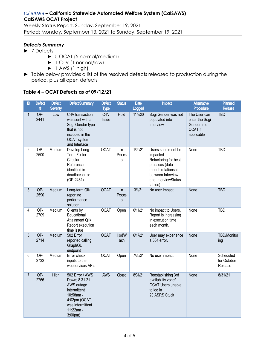Weekly Status Report, Sunday, September 19, 2021 Period: Monday, September 13, 2021 to Sunday, September 19, 2021

#### *Defects Summary*

- ► 7 Defects:
	- ► 5 OCAT (5 normal/medium)
	- ► 1 C-IV (1 normal/low)
	- $\blacktriangleright$  1 AWS (1 high)
- ► Table below provides a list of the resolved defects released to production during the period, plus all open defects

#### **Table 4 – OCAT Defects as of 09/12/21**

| ID             | <b>Defect</b><br># | <b>Defect</b><br><b>Severity</b> | <b>Defect Summary</b>                                                                                                                              | <b>Defect</b><br><b>Type</b> | <b>Status</b>         | <b>Date</b><br><b>Logged</b> | <b>Impact</b>                                                                                                                                             | <b>Alternative</b><br>Procedure                                               | <b>Planned</b><br><b>Release</b>    |
|----------------|--------------------|----------------------------------|----------------------------------------------------------------------------------------------------------------------------------------------------|------------------------------|-----------------------|------------------------------|-----------------------------------------------------------------------------------------------------------------------------------------------------------|-------------------------------------------------------------------------------|-------------------------------------|
| 1              | OP-<br>2441        | Low                              | C-IV transaction<br>was sent with a<br>Sogi Gender type<br>that is not<br>included in the<br>OCAT system<br>and Interface                          | $C$ -IV<br><b>Issue</b>      | Hold                  | 11/3/20                      | Sogi Gender was not<br>populated into<br>Interview                                                                                                        | The User can<br>enter the Sogi<br>Gender into<br><b>OCAT if</b><br>applicable | <b>TBD</b>                          |
| $\overline{2}$ | $OP-$<br>2500      | Medium                           | Develop Long<br>Term Fix for<br>Circular<br>Reference<br>identified in<br>deadlock error<br>$(OP-2461)$                                            | <b>OCAT</b>                  | $\ln$<br>Proces<br>S  | 1/20/21                      | Users should not be<br>impacted.<br>Refactoring for best<br>practices (data<br>model: relationship<br>between Interview<br>and InterviewStatus<br>tables) | None                                                                          | <b>TBD</b>                          |
| 3              | OP-<br>2590        | Medium                           | Long-term Qlik<br>reporting<br>performance<br>solution                                                                                             | <b>OCAT</b>                  | $\ln$<br>Proces<br>S  | 3/1/21                       | No user impact                                                                                                                                            | None                                                                          | <b>TBD</b>                          |
| 4              | OP-<br>2709        | Medium                           | Clients by<br>Educational<br><b>Attainment Qlik</b><br>Report execution<br>time issue                                                              | <b>OCAT</b>                  | Open                  | 6/11/21                      | No impact to Users.<br>Report is increasing<br>in execution time<br>each month.                                                                           | None                                                                          | <b>TBD</b>                          |
| 5              | OP-<br>2714        | Medium                           | 502 Error<br>reported calling<br>GraphQL<br>endpoint                                                                                               | <b>OCAT</b>                  | <b>Hold/W</b><br>atch | 6/17/21                      | User may experience<br>a 504 error.                                                                                                                       | None                                                                          | <b>TBD/Monitor</b><br>ing           |
| 6              | OP-<br>2732        | Medium                           | Error check<br>inputs to the<br>webservices APIs                                                                                                   | <b>OCAT</b>                  | Open                  | 7/20/21                      | No user impact                                                                                                                                            | None                                                                          | Scheduled<br>for October<br>Release |
| $\overline{7}$ | OP-<br>2766        | High                             | 502 Error / AWS<br>Down; 8.31.21<br>AWS outage<br>intermittent<br>10:58am -<br>4:02pm (OCAT<br>was intermittent<br>11:22am -<br>3:00 <sub>pm</sub> | <b>AWS</b>                   | Closed                | 8/31/21                      | Reestablishing 3rd<br>availability zone/<br><b>OCAT Users unable</b><br>to log in<br>20 ASRS Stuck                                                        | None                                                                          | 8/31/21                             |